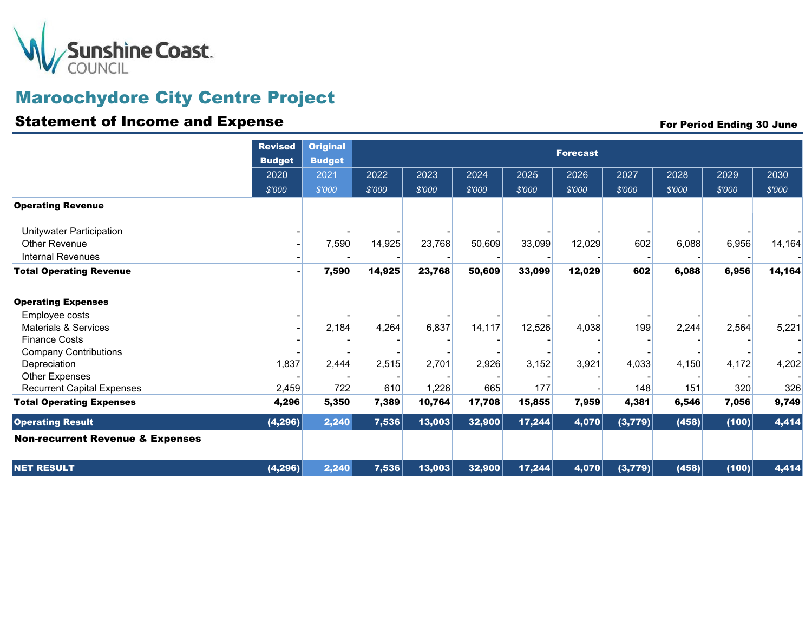

## Maroochydore City Centre Project

### Statement of Income and Expense For Period Ending 30 June

| <b>Operating Revenue</b>                                                                                         | <b>Revised</b><br><b>Budget</b><br>2020<br>\$'000 | <b>Original</b><br><b>Budget</b><br>2021<br>\$'000 | 2022<br>\$'000  | 2023<br>\$'000  | 2024<br>\$'000   | 2025<br>\$'000   | <b>Forecast</b><br>2026<br>\$'000 | 2027<br>\$'000 | 2028<br>\$'000 | 2029<br>\$'000 | 2030<br>\$'000  |
|------------------------------------------------------------------------------------------------------------------|---------------------------------------------------|----------------------------------------------------|-----------------|-----------------|------------------|------------------|-----------------------------------|----------------|----------------|----------------|-----------------|
| Unitywater Participation<br>Other Revenue<br><b>Internal Revenues</b>                                            |                                                   | 7,590                                              | 14,925          | 23,768          | 50,609           | 33,099           | 12,029                            | 602            | 6,088          | 6,956          | 14,164          |
| <b>Total Operating Revenue</b><br><b>Operating Expenses</b><br>Employee costs<br><b>Materials &amp; Services</b> |                                                   | 7,590<br>2,184                                     | 14,925<br>4,264 | 23,768<br>6,837 | 50,609<br>14,117 | 33,099<br>12,526 | 12,029<br>4,038                   | 602<br>199     | 6,088<br>2,244 | 6,956<br>2,564 | 14,164<br>5,221 |
| <b>Finance Costs</b><br><b>Company Contributions</b><br>Depreciation<br>Other Expenses                           | 1,837                                             | 2,444                                              | 2,515           | 2,701           | 2,926            | 3,152            | 3,921                             | 4,033          | 4,150          | 4,172          | 4,202           |
| <b>Recurrent Capital Expenses</b><br><b>Total Operating Expenses</b>                                             | 2,459<br>4,296                                    | 722<br>5,350                                       | 610<br>7,389    | 1,226<br>10,764 | 665<br>17,708    | 177<br>15,855    | 7,959                             | 148<br>4,381   | 151<br>6,546   | 320<br>7,056   | 326<br>9,749    |
| <b>Operating Result</b><br><b>Non-recurrent Revenue &amp; Expenses</b>                                           | (4, 296)                                          | 2,240                                              | 7,536           | 13,003          | 32,900           | 17,244           | 4,070                             | (3,779)        | (458)          | (100)          | 4,414           |
| <b>NET RESULT</b>                                                                                                | (4, 296)                                          | 2,240                                              | 7,536           | 13,003          | 32,900           | 17,244           | 4,070                             | (3,779)        | (458)          | (100)          | 4,414           |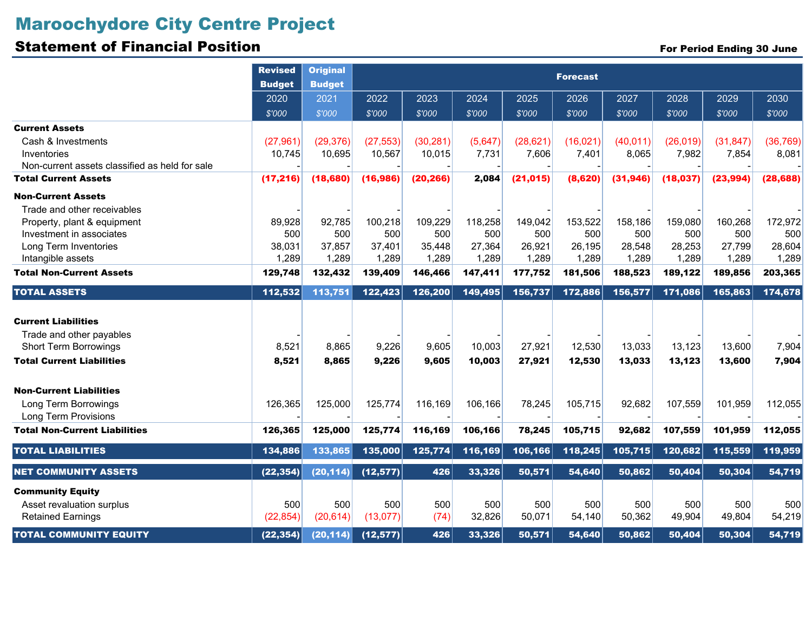# Maroochydore City Centre Project

## Statement of Financial Position

|  | <b>For Period Ending 30 June</b> |
|--|----------------------------------|
|--|----------------------------------|

|                                                | <b>Revised</b><br><b>Budget</b> | <b>Original</b><br><b>Budget</b> | <b>Forecast</b> |           |         |           |           |           |           |           |           |  |
|------------------------------------------------|---------------------------------|----------------------------------|-----------------|-----------|---------|-----------|-----------|-----------|-----------|-----------|-----------|--|
|                                                | 2020                            | 2021<br>\$'000                   | 2022            | 2023      | 2024    | 2025      | 2026      | 2027      | 2028      | 2029      | 2030      |  |
|                                                | \$'000                          |                                  | \$'000          | \$'000    | \$'000  | \$'000    | \$'000    | \$'000    | \$'000    | \$'000    | \$'000    |  |
| <b>Current Assets</b>                          |                                 |                                  |                 |           |         |           |           |           |           |           |           |  |
| Cash & Investments                             | (27, 961)                       | (29, 376)                        | (27, 553)       | (30, 281) | (5,647) | (28, 621) | (16, 021) | (40, 011) | (26, 019) | (31, 847) | (36, 769) |  |
| Inventories                                    | 10,745                          | 10,695                           | 10,567          | 10,015    | 7,731   | 7,606     | 7,401     | 8,065     | 7,982     | 7,854     | 8,081     |  |
| Non-current assets classified as held for sale |                                 |                                  |                 |           |         |           |           |           |           |           |           |  |
| <b>Total Current Assets</b>                    | (17, 216)                       | (18, 680)                        | (16, 986)       | (20, 266) | 2,084   | (21, 015) | (8,620)   | (31, 946) | (18, 037) | (23, 994) | (28, 688) |  |
| <b>Non-Current Assets</b>                      |                                 |                                  |                 |           |         |           |           |           |           |           |           |  |
| Trade and other receivables                    |                                 |                                  |                 |           |         |           |           |           |           |           |           |  |
| Property, plant & equipment                    | 89,928                          | 92,785                           | 100,218         | 109,229   | 118,258 | 149,042   | 153,522   | 158,186   | 159,080   | 160,268   | 172,972   |  |
| Investment in associates                       | 500                             | 500                              | 500             | 500       | 500     | 500       | 500       | 500       | 500       | 500       | 500       |  |
| Long Term Inventories                          | 38,031                          | 37,857                           | 37,401          | 35,448    | 27,364  | 26,921    | 26,195    | 28,548    | 28,253    | 27,799    | 28,604    |  |
| Intangible assets                              | 1,289                           | 1,289                            | 1,289           | 1,289     | 1,289   | 1,289     | 1,289     | 1,289     | 1,289     | 1,289     | 1,289     |  |
| <b>Total Non-Current Assets</b>                | 129,748                         | 132,432                          | 139,409         | 146,466   | 147,411 | 177,752   | 181,506   | 188,523   | 189,122   | 189,856   | 203,365   |  |
| <b>TOTAL ASSETS</b>                            | 112,532                         | 113,751                          | 122,423         | 126,200   | 149,495 | 156,737   | 172,886   | 156,577   | 171,086   | 165,863   | 174,678   |  |
| <b>Current Liabilities</b>                     |                                 |                                  |                 |           |         |           |           |           |           |           |           |  |
| Trade and other payables                       |                                 |                                  |                 |           |         |           |           |           |           |           |           |  |
| <b>Short Term Borrowings</b>                   | 8,521                           | 8,865                            | 9,226           | 9,605     | 10,003  | 27,921    | 12,530    | 13,033    | 13,123    | 13,600    | 7,904     |  |
| <b>Total Current Liabilities</b>               | 8,521                           | 8,865                            | 9,226           | 9,605     | 10,003  | 27,921    | 12,530    | 13,033    | 13,123    | 13,600    | 7,904     |  |
|                                                |                                 |                                  |                 |           |         |           |           |           |           |           |           |  |
| <b>Non-Current Liabilities</b>                 |                                 |                                  |                 |           |         |           |           |           |           |           |           |  |
| Long Term Borrowings                           | 126,365                         | 125,000                          | 125,774         | 116,169   | 106,166 | 78,245    | 105,715   | 92,682    | 107,559   | 101,959   | 112,055   |  |
| <b>Long Term Provisions</b>                    |                                 |                                  |                 |           |         |           |           |           |           |           |           |  |
| <b>Total Non-Current Liabilities</b>           | 126,365                         | 125,000                          | 125,774         | 116,169   | 106,166 | 78,245    | 105,715   | 92,682    | 107,559   | 101,959   | 112,055   |  |
| <b>TOTAL LIABILITIES</b>                       | 134,886                         | 133,865                          | 135,000         | 125,774   | 116,169 | 106,166   | 118,245   | 105,715   | 120,682   | 115,559   | 119,959   |  |
| <b>NET COMMUNITY ASSETS</b>                    | (22, 354)                       | (20, 114)                        | (12, 577)       | 426       | 33,326  | 50,571    | 54,640    | 50,862    | 50,404    | 50,304    | 54,719    |  |
| <b>Community Equity</b>                        |                                 |                                  |                 |           |         |           |           |           |           |           |           |  |
| Asset revaluation surplus                      | 500                             | 500                              | 500             | 500       | 500     | 500       | 500       | 500       | 500       | 500       | 500       |  |
| <b>Retained Earnings</b>                       | (22, 854)                       | (20, 614)                        | (13, 077)       | (74)      | 32,826  | 50,071    | 54,140    | 50,362    | 49,904    | 49,804    | 54,219    |  |
| <b>TOTAL COMMUNITY EQUITY</b>                  | (22, 354)                       | (20, 114)                        | (12, 577)       | 426       | 33,326  | 50,571    | 54,640    | 50,862    | 50,404    | 50,304    | 54,719    |  |